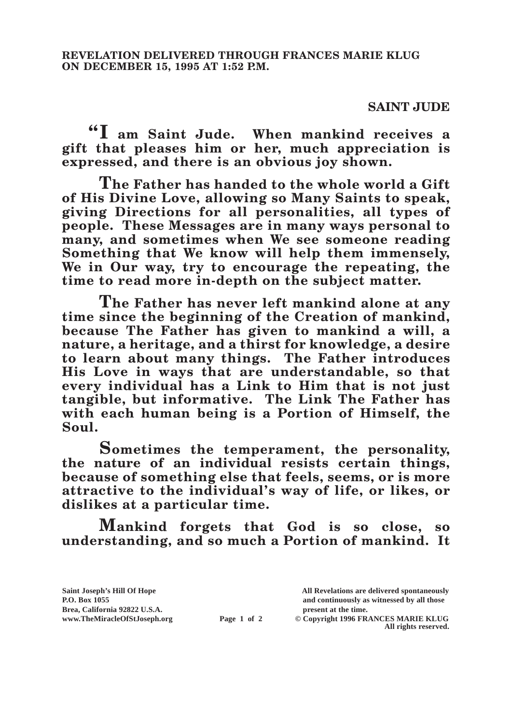## **SAINT JUDE**

**"I am Saint Jude. When mankind receives a gift that pleases him or her, much appreciation is expressed, and there is an obvious joy shown.**

**The Father has handed to the whole world a Gift of His Divine Love, allowing so Many Saints to speak, giving Directions for all personalities, all types of people. These Messages are in many ways personal to many, and sometimes when We see someone reading Something that We know will help them immensely, We in Our way, try to encourage the repeating, the time to read more in-depth on the subject matter.**

**The Father has never left mankind alone at any time since the beginning of the Creation of mankind, because The Father has given to mankind a will, a nature, a heritage, and a thirst for knowledge, a desire to learn about many things. The Father introduces His Love in ways that are understandable, so that every individual has a Link to Him that is not just tangible, but informative. The Link The Father has with each human being is a Portion of Himself, the Soul.**

**Sometimes the temperament, the personality, the nature of an individual resists certain things, because of something else that feels, seems, or is more attractive to the individual's way of life, or likes, or dislikes at a particular time.**

**Mankind forgets that God is so close, so understanding, and so much a Portion of mankind. It** 

**Brea, California 92822 U.S.A. present at the time.**<br> **present at the time.**<br> **present at the time.**<br> **Page 1 of 2** © Copyright 1996 FR.

**Saint Joseph's Hill Of Hope All Revelations are delivered spontaneously P.O. Box 1055 and continuously as witnessed by all those** 

**Page 1 of 2** © Copyright 1996 FRANCES MARIE KLUG **All rights reserved.**